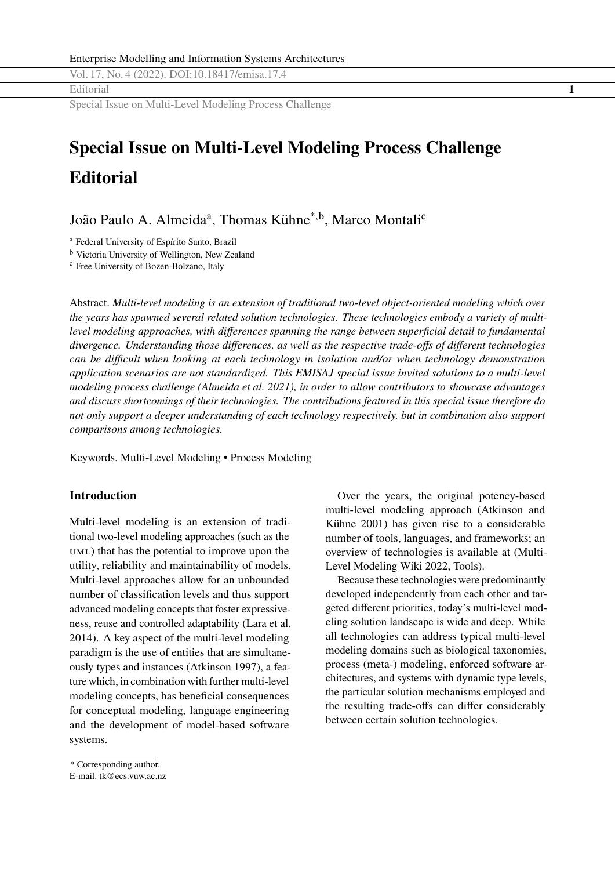Vol. 17, No. 4 (2022). DOI[:10.18417/emisa.17.4](http://dx.doi.org/10.18417/emisa.17.4) Editorial **1**

Special Issue on Multi-Level Modeling Process Challenge

# **Special Issue on Multi-Level Modeling Process Challenge Editorial**

João Paulo A. Almeida<sup>a</sup>, Thomas Kühne<sup>\*,b</sup>, Marco Montali<sup>c</sup>

<sup>a</sup> Federal University of Espírito Santo, Brazil

<sup>b</sup> Victoria University of Wellington, New Zealand

<sup>c</sup> Free University of Bozen-Bolzano, Italy

Abstract. *Multi-level modeling is an extension of traditional two-level object-oriented modeling which over the years has spawned several related solution technologies. These technologies embody a variety of multilevel modeling approaches, with differences spanning the range between superficial detail to fundamental divergence. Understanding those differences, as well as the respective trade-offs of different technologies can be difficult when looking at each technology in isolation and/or when technology demonstration application scenarios are not standardized. This EMISAJ special issue invited solutions to a multi-level modeling process challenge (Almeida et al. [2021\)](#page-3-0), in order to allow contributors to showcase advantages and discuss shortcomings of their technologies. The contributions featured in this special issue therefore do not only support a deeper understanding of each technology respectively, but in combination also support comparisons among technologies.*

Keywords. Multi-Level Modeling • Process Modeling

#### **Introduction**

Multi-level modeling is an extension of traditional two-level modeling approaches (such as the uml) that has the potential to improve upon the utility, reliability and maintainability of models. Multi-level approaches allow for an unbounded number of classification levels and thus support advanced modeling concepts that foster expressiveness, reuse and controlled adaptability (Lara et al. [2014\)](#page-4-0). A key aspect of the multi-level modeling paradigm is the use of entities that are simultaneously types and instances (Atkinson [1997\)](#page-4-0), a feature which, in combination with further multi-level modeling concepts, has beneficial consequences for conceptual modeling, language engineering and the development of model-based software systems.

Because these technologies were predominantly developed independently from each other and targeted different priorities, today's multi-level modeling solution landscape is wide and deep. While all technologies can address typical multi-level modeling domains such as biological taxonomies, process (meta-) modeling, enforced software architectures, and systems with dynamic type levels, the particular solution mechanisms employed and the resulting trade-offs can differ considerably between certain solution technologies.

Over the years, the original potency-based multi-level modeling approach (Atkinson and Kühne [2001\)](#page-4-0) has given rise to a considerable number of tools, languages, and frameworks; an overview of technologies is available at [\(Multi-](#page-4-0)[Level Modeling Wiki](#page-4-0) [2022,](#page-4-0) Tools).

<sup>\*</sup> Corresponding author.

E-mail. <tk@ecs.vuw.ac.nz>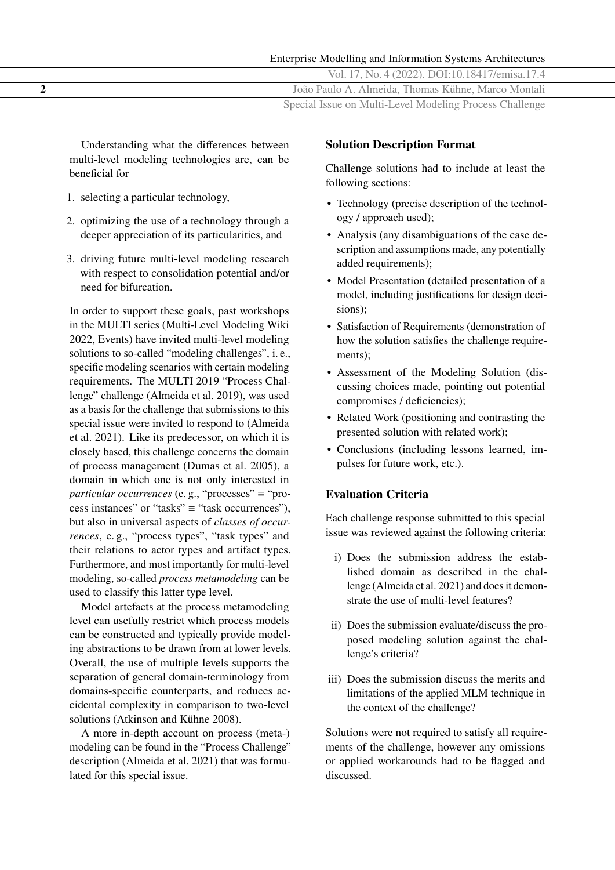| Enterprise Modelling and Information Systems Architectures |
|------------------------------------------------------------|
| Vol. 17, No. 4 (2022). DOI:10.18417/emisa.17.4             |
| João Paulo A. Almeida, Thomas Kühne, Marco Montali         |
| Special Issue on Multi-Level Modeling Process Challenge    |

Understanding what the differences between multi-level modeling technologies are, can be beneficial for

- 1. selecting a particular technology,
- 2. optimizing the use of a technology through a deeper appreciation of its particularities, and
- 3. driving future multi-level modeling research with respect to consolidation potential and/or need for bifurcation.

In order to support these goals, past workshops in the MULTI series [\(Multi-Level Modeling Wiki](#page-4-0) [2022,](#page-4-0) Events) have invited multi-level modeling solutions to so-called "modeling challenges", i. e., specific modeling scenarios with certain modeling requirements. The MULTI 2019 "Process Challenge" challenge (Almeida et al. [2019\)](#page-3-0), was used as a basis for the challenge that submissions to this special issue were invited to respond to (Almeida et al. [2021\)](#page-3-0). Like its predecessor, on which it is closely based, this challenge concerns the domain of process management (Dumas et al. [2005\)](#page-4-0), a domain in which one is not only interested in *particular occurrences* (e.g., "processes" ≡ "process instances" or "tasks"  $\equiv$  "task occurrences"). but also in universal aspects of *classes of occurrences*, e. g., "process types", "task types" and their relations to actor types and artifact types. Furthermore, and most importantly for multi-level modeling, so-called *process metamodeling* can be used to classify this latter type level.

Model artefacts at the process metamodeling level can usefully restrict which process models can be constructed and typically provide modeling abstractions to be drawn from at lower levels. Overall, the use of multiple levels supports the separation of general domain-terminology from domains-specific counterparts, and reduces accidental complexity in comparison to two-level solutions (Atkinson and Kühne [2008\)](#page-4-0).

A more in-depth account on process (meta-) modeling can be found in the "Process Challenge" description (Almeida et al. [2021\)](#page-3-0) that was formulated for this special issue.

#### **Solution Description Format**

Challenge solutions had to include at least the following sections:

- Technology (precise description of the technology / approach used);
- Analysis (any disambiguations of the case description and assumptions made, any potentially added requirements);
- Model Presentation (detailed presentation of a model, including justifications for design decisions);
- Satisfaction of Requirements (demonstration of how the solution satisfies the challenge requirements);
- Assessment of the Modeling Solution (discussing choices made, pointing out potential compromises / deficiencies);
- Related Work (positioning and contrasting the presented solution with related work);
- Conclusions (including lessons learned, impulses for future work, etc.).

### **Evaluation Criteria**

Each challenge response submitted to this special issue was reviewed against the following criteria:

- i) Does the submission address the established domain as described in the challenge (Almeida et al. [2021\)](#page-3-0) and does it demonstrate the use of multi-level features?
- ii) Does the submission evaluate/discuss the proposed modeling solution against the challenge's criteria?
- iii) Does the submission discuss the merits and limitations of the applied MLM technique in the context of the challenge?

Solutions were not required to satisfy all requirements of the challenge, however any omissions or applied workarounds had to be flagged and discussed.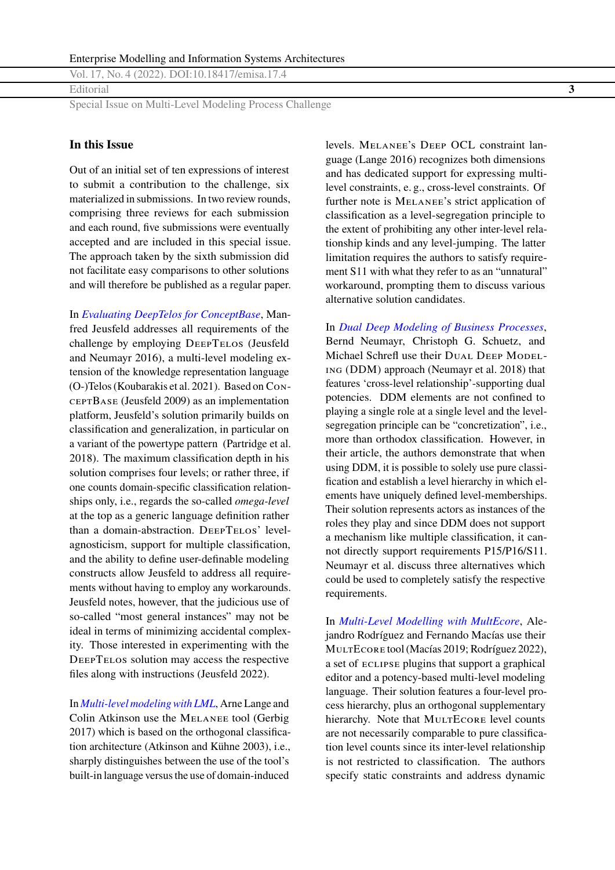Vol. 17, No. 4 (2022). DOI[:10.18417/emisa.17.4](http://dx.doi.org/10.18417/emisa.17.4)

Editorial **3**

Special Issue on Multi-Level Modeling Process Challenge

### **In this Issue**

Out of an initial set of ten expressions of interest to submit a contribution to the challenge, six materialized in submissions. In two review rounds, comprising three reviews for each submission and each round, five submissions were eventually accepted and are included in this special issue. The approach taken by the sixth submission did not facilitate easy comparisons to other solutions and will therefore be published as a regular paper.

In *[Evaluating DeepTelos for ConceptBase](https://emisa-journal.org/emisa/article/view/269)*, Manfred Jeusfeld addresses all requirements of the challenge by employing DEEPTELOS (Jeusfeld and Neumayr [2016\)](#page-4-0), a multi-level modeling extension of the knowledge representation language (O-)Telos (Koubarakis et al. [2021\)](#page-4-0). Based on ConceptBase (Jeusfeld [2009\)](#page-4-0) as an implementation platform, Jeusfeld's solution primarily builds on classification and generalization, in particular on a variant of the powertype pattern (Partridge et al. [2018\)](#page-4-0). The maximum classification depth in his solution comprises four levels; or rather three, if one counts domain-specific classification relationships only, i.e., regards the so-called *omega-level* at the top as a generic language definition rather than a domain-abstraction. DEEPTELOS' levelagnosticism, support for multiple classification, and the ability to define user-definable modeling constructs allow Jeusfeld to address all requirements without having to employ any workarounds. Jeusfeld notes, however, that the judicious use of so-called "most general instances" may not be ideal in terms of minimizing accidental complexity. Those interested in experimenting with the DeepTelos solution may access the respective files along with instructions (Jeusfeld [2022\)](#page-4-0).

In *[Multi-level modeling with LML](https://emisa-journal.org/emisa/article/view/280)*, Arne Lange and Colin Atkinson use the Melanee tool (Gerbig [2017\)](#page-4-0) which is based on the orthogonal classification architecture (Atkinson and Kühne [2003\)](#page-4-0), i.e., sharply distinguishes between the use of the tool's built-in language versus the use of domain-induced

levels. Melanee's Deep OCL constraint language (Lange [2016\)](#page-4-0) recognizes both dimensions and has dedicated support for expressing multilevel constraints, e. g., cross-level constraints. Of further note is Melanee's strict application of classification as a level-segregation principle to the extent of prohibiting any other inter-level relationship kinds and any level-jumping. The latter limitation requires the authors to satisfy requirement S11 with what they refer to as an "unnatural" workaround, prompting them to discuss various alternative solution candidates.

In *[Dual Deep Modeling of Business Processes](https://emisa-journal.org/emisa/article/view/281)*, Bernd Neumayr, Christoph G. Schuetz, and Michael Schrefl use their DUAL DEEP MODELing (DDM) approach (Neumayr et al. [2018\)](#page-4-0) that features 'cross-level relationship'-supporting dual potencies. DDM elements are not confined to playing a single role at a single level and the levelsegregation principle can be "concretization", i.e., more than orthodox classification. However, in their article, the authors demonstrate that when using DDM, it is possible to solely use pure classification and establish a level hierarchy in which elements have uniquely defined level-memberships. Their solution represents actors as instances of the roles they play and since DDM does not support a mechanism like multiple classification, it cannot directly support requirements P15/P16/S11. Neumayr et al. discuss three alternatives which could be used to completely satisfy the respective requirements.

In *[Multi-Level Modelling with MultEcore](https://emisa-journal.org/emisa/article/view/279)*, Alejandro Rodríguez and Fernando Macías use their MULTECORE tool (Macías [2019;](#page-4-0) Rodríguez [2022\)](#page-4-0), a set of eclipse plugins that support a graphical editor and a potency-based multi-level modeling language. Their solution features a four-level process hierarchy, plus an orthogonal supplementary hierarchy. Note that MULTECORE level counts are not necessarily comparable to pure classification level counts since its inter-level relationship is not restricted to classification. The authors specify static constraints and address dynamic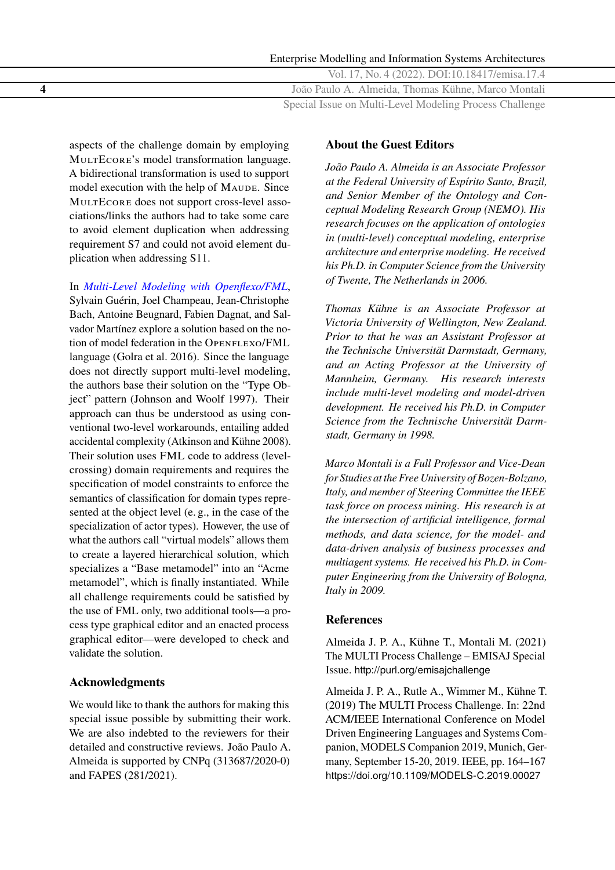<span id="page-3-0"></span>Enterprise Modelling and Information Systems Architectures Vol. 17, No. 4 (2022). DOI[:10.18417/emisa.17.4](http://dx.doi.org/10.18417/emisa.17.4) **4** João Paulo A. Almeida, Thomas Kühne, Marco Montali Special Issue on Multi-Level Modeling Process Challenge

aspects of the challenge domain by employing MULTECORE's model transformation language. A bidirectional transformation is used to support model execution with the help of MAUDE. Since MULTECORE does not support cross-level associations/links the authors had to take some care to avoid element duplication when addressing requirement S7 and could not avoid element duplication when addressing S11.

In *[Multi-Level Modeling with Openflexo/FML](https://emisa-journal.org/emisa/article/view/283)*,

Sylvain Guérin, Joel Champeau, Jean-Christophe Bach, Antoine Beugnard, Fabien Dagnat, and Salvador Martínez explore a solution based on the notion of model federation in the OPENFLEXO/FML language (Golra et al. [2016\)](#page-4-0). Since the language does not directly support multi-level modeling, the authors base their solution on the "Type Object" pattern (Johnson and Woolf [1997\)](#page-4-0). Their approach can thus be understood as using conventional two-level workarounds, entailing added accidental complexity (Atkinson and Kühne [2008\)](#page-4-0). Their solution uses FML code to address (levelcrossing) domain requirements and requires the specification of model constraints to enforce the semantics of classification for domain types represented at the object level (e. g., in the case of the specialization of actor types). However, the use of what the authors call "virtual models" allows them to create a layered hierarchical solution, which specializes a "Base metamodel" into an "Acme metamodel", which is finally instantiated. While all challenge requirements could be satisfied by the use of FML only, two additional tools—a process type graphical editor and an enacted process graphical editor—were developed to check and validate the solution.

### **Acknowledgments**

We would like to thank the authors for making this special issue possible by submitting their work. We are also indebted to the reviewers for their detailed and constructive reviews. João Paulo A. Almeida is supported by CNPq (313687/2020-0) and FAPES (281/2021).

## **About the Guest Editors**

*João Paulo A. Almeida is an Associate Professor at the Federal University of Espírito Santo, Brazil, and Senior Member of the Ontology and Conceptual Modeling Research Group (NEMO). His research focuses on the application of ontologies in (multi-level) conceptual modeling, enterprise architecture and enterprise modeling. He received his Ph.D. in Computer Science from the University of Twente, The Netherlands in 2006.*

*Thomas Kühne is an Associate Professor at Victoria University of Wellington, New Zealand. Prior to that he was an Assistant Professor at the Technische Universität Darmstadt, Germany, and an Acting Professor at the University of Mannheim, Germany. His research interests include multi-level modeling and model-driven development. He received his Ph.D. in Computer Science from the Technische Universität Darmstadt, Germany in 1998.*

*Marco Montali is a Full Professor and Vice-Dean for Studies at the Free University of Bozen-Bolzano, Italy, and member of Steering Committee the IEEE task force on process mining. His research is at the intersection of artificial intelligence, formal methods, and data science, for the model- and data-driven analysis of business processes and multiagent systems. He received his Ph.D. in Computer Engineering from the University of Bologna, Italy in 2009.*

#### **References**

Almeida J. P. A., Kühne T., Montali M. (2021) The MULTI Process Challenge – EMISAJ Special Issue. <http://purl.org/emisajchallenge>

Almeida J. P. A., Rutle A., Wimmer M., Kühne T. (2019) The MULTI Process Challenge. In: 22nd ACM/IEEE International Conference on Model Driven Engineering Languages and Systems Companion, MODELS Companion 2019, Munich, Germany, September 15-20, 2019. IEEE, pp. 164–167 <https://doi.org/10.1109/MODELS-C.2019.00027>